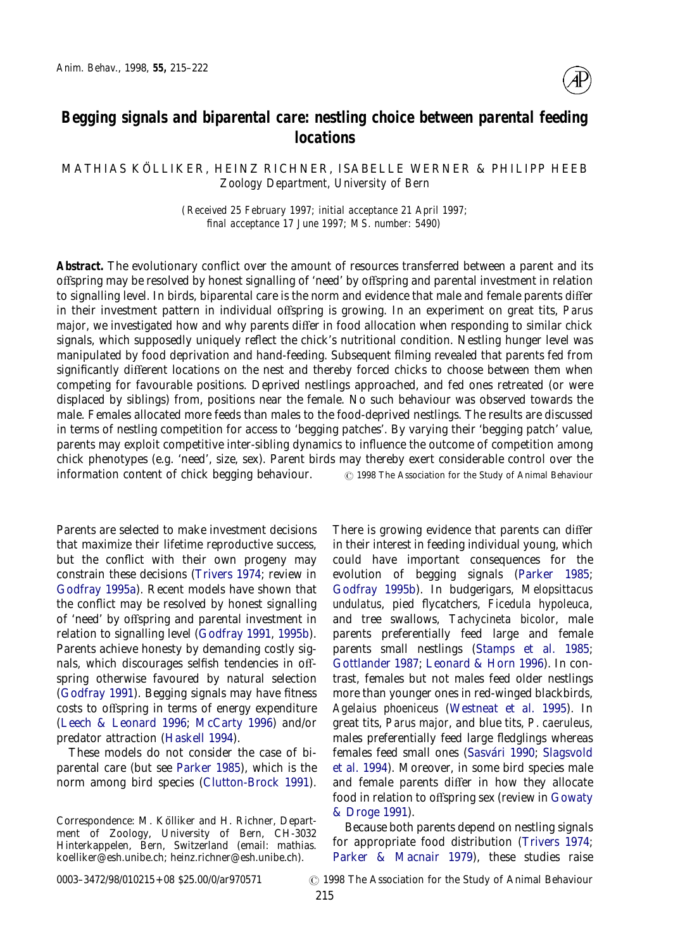

# **Begging signals and biparental care: nestling choice between parental feeding locations**

MATHIAS KÖLLIKER, HEINZ RICHNER, ISABELLE WERNER & PHILIPP HEEB *Zoology Department, University of Bern*

> *(Received 25 February 1997; initial acceptance 21 April 1997; final acceptance 17 June 1997; MS. number: 5490)*

**Abstract.** The evolutionary conflict over the amount of resources transferred between a parent and its offspring may be resolved by honest signalling of 'need' by offspring and parental investment in relation to signalling level. In birds, biparental care is the norm and evidence that male and female parents differ in their investment pattern in individual offspring is growing. In an experiment on great tits, *Parus major*, we investigated how and why parents differ in food allocation when responding to similar chick signals, which supposedly uniquely reflect the chick's nutritional condition. Nestling hunger level was manipulated by food deprivation and hand-feeding. Subsequent filming revealed that parents fed from significantly different locations on the nest and thereby forced chicks to choose between them when competing for favourable positions. Deprived nestlings approached, and fed ones retreated (or were displaced by siblings) from, positions near the female. No such behaviour was observed towards the male. Females allocated more feeds than males to the food-deprived nestlings. The results are discussed in terms of nestling competition for access to 'begging patches'. By varying their 'begging patch' value, parents may exploit competitive inter-sibling dynamics to influence the outcome of competition among chick phenotypes (e.g. 'need', size, sex). Parent birds may thereby exert considerable control over the information content of chick begging behaviour.  $\odot$  1998 The Association for the Study of Animal Behaviour

Parents are selected to make investment decisions that maximize their lifetime reproductive success, but the conflict with their own progeny may constrain these decisions [\(Trivers 1974;](#page-7-0) review in [Godfray 1995a\)](#page-7-1). Recent models have shown that the conflict may be resolved by honest signalling of 'need' by offspring and parental investment in relation to signalling level [\(Godfray 1991,](#page-7-2) [1995b\)](#page-7-3). Parents achieve honesty by demanding costly signals, which discourages selfish tendencies in offspring otherwise favoured by natural selection [\(Godfray 1991\)](#page-7-2). Begging signals may have fitness costs to offspring in terms of energy expenditure [\(Leech & Leonard 1996;](#page-7-4) [McCarty 1996\)](#page-7-5) and/or predator attraction [\(Haskell 1994\)](#page-7-6).

These models do not consider the case of biparental care (but see [Parker 1985\)](#page-7-7), which is the norm among bird species [\(Clutton-Brock 1991\)](#page-7-8).

There is growing evidence that parents can differ in their interest in feeding individual young, which could have important consequences for the evolution of begging signals [\(Parker 1985;](#page-7-7) [Godfray 1995b\)](#page-7-3). In budgerigars, *Melopsittacus undulatus*, pied flycatchers, *Ficedula hypoleuca*, and tree swallows, *Tachycineta bicolor*, male parents preferentially feed large and female parents small nestlings [\(Stamps et al. 1985;](#page-7-9) [Gottlander 1987;](#page-7-10) [Leonard & Horn 1996\)](#page-7-11). In contrast, females but not males feed older nestlings more than younger ones in red-winged blackbirds, *Agelaius phoeniceus* [\(Westneat et al. 1995\)](#page-7-12). In great tits, *Parus major*, and blue tits, *P. caeruleus*, males preferentially feed large fledglings whereas females feed small ones (Sasvári 1990; [Slagsvold](#page-7-14) [et al. 1994\)](#page-7-14). Moreover, in some bird species male and female parents differ in how they allocate food in relation to offspring sex (review in [Gowaty](#page-7-15) [& Droge 1991\)](#page-7-15).

Because both parents depend on nestling signals for appropriate food distribution [\(Trivers 1974;](#page-7-0) [Parker & Macnair 1979\)](#page-7-16), these studies raise

0003–3472/98/010215+08 \$25.00/0/ar970571 ? 1998 The Association for the Study of Animal Behaviour

Correspondence: M. Kölliker and H. Richner, Department of Zoology, University of Bern, CH-3032 Hinterkappelen, Bern, Switzerland (email: mathias. koelliker@esh.unibe.ch; heinz.richner@esh.unibe.ch).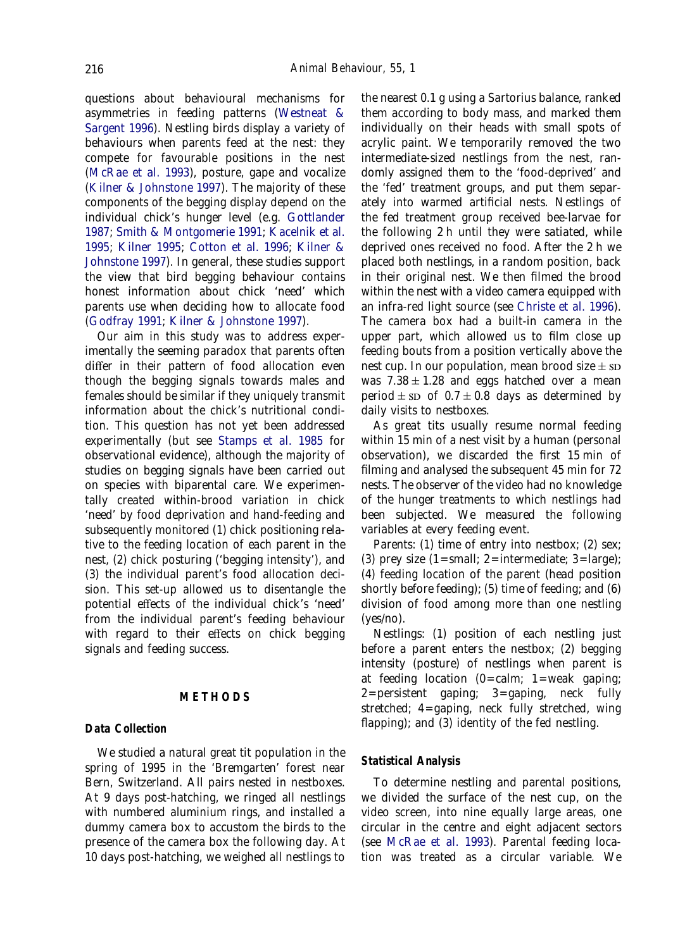questions about behavioural mechanisms for asymmetries in feeding patterns [\(Westneat &](#page-7-17) [Sargent 1996\)](#page-7-17). Nestling birds display a variety of behaviours when parents feed at the nest: they compete for favourable positions in the nest [\(McRae et al. 1993\)](#page-7-18), posture, gape and vocalize [\(Kilner & Johnstone 1997\)](#page-7-19). The majority of these components of the begging display depend on the individual chick's hunger level (e.g. [Gottlander](#page-7-10) [1987;](#page-7-10) [Smith & Montgomerie 1991;](#page-7-20) [Kacelnik et al.](#page-7-21) [1995;](#page-7-21) [Kilner 1995;](#page-7-22) [Cotton et al. 1996;](#page-7-23) [Kilner &](#page-7-19) [Johnstone 1997\)](#page-7-19). In general, these studies support the view that bird begging behaviour contains honest information about chick 'need' which parents use when deciding how to allocate food [\(Godfray 1991;](#page-7-2) [Kilner & Johnstone 1997\)](#page-7-19).

Our aim in this study was to address experimentally the seeming paradox that parents often differ in their pattern of food allocation even though the begging signals towards males and females should be similar if they uniquely transmit information about the chick's nutritional condition. This question has not yet been addressed experimentally (but see [Stamps et al. 1985](#page-7-9) for observational evidence), although the majority of studies on begging signals have been carried out on species with biparental care. We experimentally created within-brood variation in chick 'need' by food deprivation and hand-feeding and subsequently monitored (1) chick positioning relative to the feeding location of each parent in the nest, (2) chick posturing ('begging intensity'), and (3) the individual parent's food allocation decision. This set-up allowed us to disentangle the potential effects of the individual chick's 'need' from the individual parent's feeding behaviour with regard to their effects on chick begging signals and feeding success.

#### **METHODS**

#### **Data Collection**

We studied a natural great tit population in the spring of 1995 in the 'Bremgarten' forest near Bern, Switzerland. All pairs nested in nestboxes. At 9 days post-hatching, we ringed all nestlings with numbered aluminium rings, and installed a dummy camera box to accustom the birds to the presence of the camera box the following day. At 10 days post-hatching, we weighed all nestlings to the nearest 0.1 g using a Sartorius balance, ranked them according to body mass, and marked them individually on their heads with small spots of acrylic paint. We temporarily removed the two intermediate-sized nestlings from the nest, randomly assigned them to the 'food-deprived' and the 'fed' treatment groups, and put them separately into warmed artificial nests. Nestlings of the fed treatment group received bee-larvae for the following 2 h until they were satiated, while deprived ones received no food. After the 2 h we placed both nestlings, in a random position, back in their original nest. We then filmed the brood within the nest with a video camera equipped with an infra-red light source (see [Christe et al. 1996\)](#page-7-24). The camera box had a built-in camera in the upper part, which allowed us to film close up feeding bouts from a position vertically above the nest cup. In our population, mean brood size  $\pm$  sp was  $7.38 \pm 1.28$  and eggs hatched over a mean period  $\pm$  sp of 0.7  $\pm$  0.8 days as determined by daily visits to nestboxes.

As great tits usually resume normal feeding within 15 min of a nest visit by a human (personal observation), we discarded the first 15 min of filming and analysed the subsequent 45 min for 72 nests. The observer of the video had no knowledge of the hunger treatments to which nestlings had been subjected. We measured the following variables at every feeding event.

Parents: (1) time of entry into nestbox; (2) sex; (3) prey size  $(1=small; 2=intermediate; 3=large);$ (4) feeding location of the parent (head position shortly before feeding); (5) time of feeding; and (6) division of food among more than one nestling (yes/no).

Nestlings: (1) position of each nestling just before a parent enters the nestbox; (2) begging intensity (posture) of nestlings when parent is at feeding location  $(0=calm; 1=weak$  gaping;  $2 =$  persistent gaping;  $3 =$  gaping, neck fully stretched; 4=gaping, neck fully stretched, wing flapping); and (3) identity of the fed nestling.

#### **Statistical Analysis**

To determine nestling and parental positions, we divided the surface of the nest cup, on the video screen, into nine equally large areas, one circular in the centre and eight adjacent sectors (see [McRae et al. 1993\)](#page-7-18). Parental feeding location was treated as a circular variable. We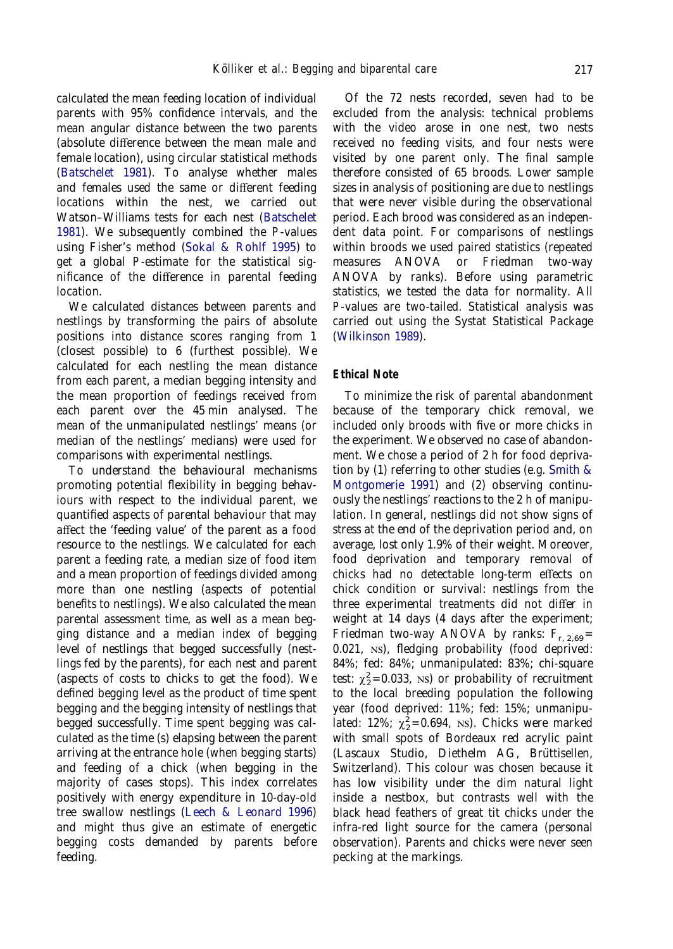calculated the mean feeding location of individual parents with 95% confidence intervals, and the mean angular distance between the two parents (absolute difference between the mean male and female location), using circular statistical methods [\(Batschelet 1981\)](#page-7-25). To analyse whether males and females used the same or different feeding locations within the nest, we carried out Watson–Williams tests for each nest [\(Batschelet](#page-7-25) [1981\)](#page-7-25). We subsequently combined the *P*-values using Fisher's method [\(Sokal & Rohlf 1995\)](#page-7-26) to get a global *P*-estimate for the statistical significance of the difference in parental feeding location.

We calculated distances between parents and nestlings by transforming the pairs of absolute positions into distance scores ranging from 1 (closest possible) to 6 (furthest possible). We calculated for each nestling the mean distance from each parent, a median begging intensity and the mean proportion of feedings received from each parent over the 45 min analysed. The mean of the unmanipulated nestlings' means (or median of the nestlings' medians) were used for comparisons with experimental nestlings.

To understand the behavioural mechanisms promoting potential flexibility in begging behaviours with respect to the individual parent, we quantified aspects of parental behaviour that may affect the 'feeding value' of the parent as a food resource to the nestlings. We calculated for each parent a feeding rate, a median size of food item and a mean proportion of feedings divided among more than one nestling (aspects of potential benefits to nestlings). We also calculated the mean parental assessment time, as well as a mean begging distance and a median index of begging level of nestlings that begged successfully (nestlings fed by the parents), for each nest and parent (aspects of costs to chicks to get the food). We defined begging level as the product of time spent begging and the begging intensity of nestlings that begged successfully. Time spent begging was calculated as the time (s) elapsing between the parent arriving at the entrance hole (when begging starts) and feeding of a chick (when begging in the majority of cases stops). This index correlates positively with energy expenditure in 10-day-old tree swallow nestlings [\(Leech & Leonard 1996\)](#page-7-4) and might thus give an estimate of energetic begging costs demanded by parents before feeding.

Of the 72 nests recorded, seven had to be excluded from the analysis: technical problems with the video arose in one nest, two nests received no feeding visits, and four nests were visited by one parent only. The final sample therefore consisted of 65 broods. Lower sample sizes in analysis of positioning are due to nestlings that were never visible during the observational period. Each brood was considered as an independent data point. For comparisons of nestlings within broods we used paired statistics (repeated measures ANOVA or Friedman two-way ANOVA by ranks). Before using parametric statistics, we tested the data for normality. All *P*-values are two-tailed. Statistical analysis was carried out using the Systat Statistical Package [\(Wilkinson 1989\)](#page-7-27).

# **Ethical Note**

To minimize the risk of parental abandonment because of the temporary chick removal, we included only broods with five or more chicks in the experiment. We observed no case of abandonment. We chose a period of 2 h for food deprivation by (1) referring to other studies (e.g. [Smith &](#page-7-20) [Montgomerie 1991\)](#page-7-20) and (2) observing continuously the nestlings' reactions to the 2 h of manipulation. In general, nestlings did not show signs of stress at the end of the deprivation period and, on average, lost only 1.9% of their weight. Moreover, food deprivation and temporary removal of chicks had no detectable long-term effects on chick condition or survival: nestlings from the three experimental treatments did not differ in weight at 14 days (4 days after the experiment; Friedman two-way ANOVA by ranks:  $F_{r, 2.69}$ = 0.021, NS), fledging probability (food deprived: 84%; fed: 84%; unmanipulated: 83%; chi-square test:  $\chi^2$  = 0.033, NS) or probability of recruitment to the local breeding population the following year (food deprived: 11%; fed: 15%; unmanipulated: 12%;  $\chi^2$ =0.694, NS). Chicks were marked with small spots of Bordeaux red acrylic paint (Lascaux Studio, Diethelm AG, Brüttisellen, Switzerland). This colour was chosen because it has low visibility under the dim natural light inside a nestbox, but contrasts well with the black head feathers of great tit chicks under the infra-red light source for the camera (personal observation). Parents and chicks were never seen pecking at the markings.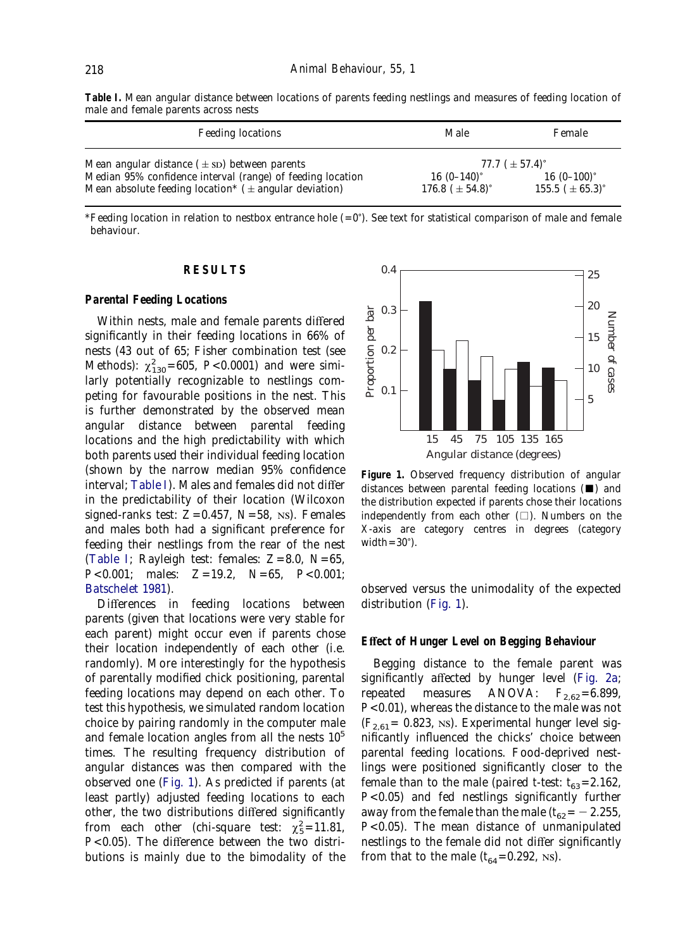<span id="page-3-0"></span>

| Table I. Mean angular distance between locations of parents feeding nestlings and measures of feeding location of |  |  |  |  |  |  |
|-------------------------------------------------------------------------------------------------------------------|--|--|--|--|--|--|
| male and female parents across nests                                                                              |  |  |  |  |  |  |

| <b>Feeding locations</b>                                                                                                             | Male                                   | Female                                             |
|--------------------------------------------------------------------------------------------------------------------------------------|----------------------------------------|----------------------------------------------------|
| Mean angular distance ( $\pm$ sp) between parents                                                                                    |                                        | 77.7 ( $\pm$ 57.4) $^{\circ}$                      |
| Median 95% confidence interval (range) of feeding location<br>Mean absolute feeding location <sup>*</sup> ( $\pm$ angular deviation) | 16 $(0-140)$ °<br>176.8 $(\pm 54.8)$ ° | 16 $(0-100)$ °<br>155.5 ( $\pm$ 65.3) <sup>°</sup> |

\*Feeding location in relation to nestbox entrance hole  $(=0)$ °. See text for statistical comparison of male and female behaviour.

# **RESULTS**

#### **Parental Feeding Locations**

Within nests, male and female parents differed significantly in their feeding locations in 66% of nests (43 out of 65; Fisher combination test (see Methods):  $\chi_{130}^2 = 605$ , *P*<0.0001) and were similarly potentially recognizable to nestlings competing for favourable positions in the nest. This is further demonstrated by the observed mean angular distance between parental feeding locations and the high predictability with which both parents used their individual feeding location (shown by the narrow median 95% confidence interval; [Table I\)](#page-3-0). Males and females did not differ in the predictability of their location (Wilcoxon signed-ranks test:  $Z=0.457$ ,  $N=58$ , NS). Females and males both had a significant preference for feeding their nestlings from the rear of the nest [\(Table I;](#page-3-0) Rayleigh test: females: *Z*=8.0, *N*=65, *P*<0.001; males: *Z*=19.2, *N*=65, *P*<0.001; [Batschelet 1981\)](#page-7-25).

Differences in feeding locations between parents (given that locations were very stable for each parent) might occur even if parents chose their location independently of each other (i.e. randomly). More interestingly for the hypothesis of parentally modified chick positioning, parental feeding locations may depend on each other. To test this hypothesis, we simulated random location choice by pairing randomly in the computer male and female location angles from all the nests  $10<sup>5</sup>$ times. The resulting frequency distribution of angular distances was then compared with the observed one [\(Fig. 1\)](#page-3-1). As predicted if parents (at least partly) adjusted feeding locations to each other, the two distributions differed significantly from each other (chi-square test:  $\chi^2_5 = 11.81$ , *P*<0.05). The difference between the two distributions is mainly due to the bimodality of the

<span id="page-3-1"></span>

Figure 1. Observed frequency distribution of angular distances between parental feeding locations  $(\blacksquare)$  and the distribution expected if parents chose their locations independently from each other  $(\square)$ . Numbers on the *X*-axis are category centres in degrees (category width= $30^{\circ}$ ).

observed versus the unimodality of the expected distribution [\(Fig. 1\)](#page-3-1).

#### **Effect of Hunger Level on Begging Behaviour**

Begging distance to the female parent was significantly affected by hunger level [\(Fig. 2a;](#page-4-0) repeated measures ANOVA:  $F_{2,62}=6.899$ , *P*<0.01), whereas the distance to the male was not  $(F_{2,61} = 0.823, \text{ NS})$ . Experimental hunger level significantly influenced the chicks' choice between parental feeding locations. Food-deprived nestlings were positioned significantly closer to the female than to the male (paired *t*-test:  $t_{63}=2.162$ , *P*<0.05) and fed nestlings significantly further away from the female than the male  $(t_{62}=-2.255,$ *P*<0.05). The mean distance of unmanipulated nestlings to the female did not differ significantly from that to the male  $(t_{64}=0.292, \text{ NS}).$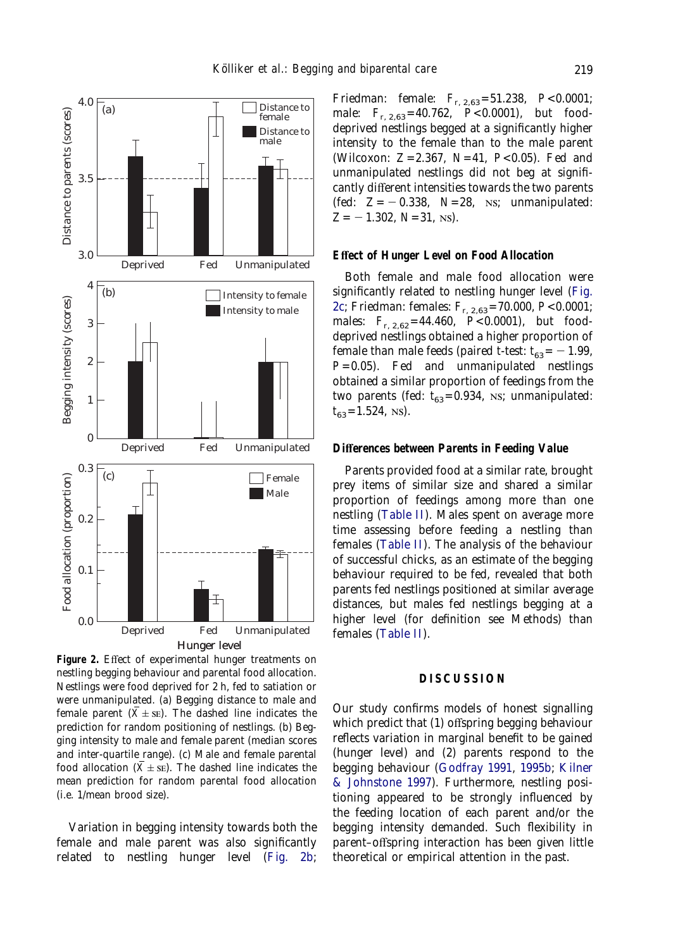<span id="page-4-0"></span>

**Figure 2.** Effect of experimental hunger treatments on nestling begging behaviour and parental food allocation. Nestlings were food deprived for 2 h, fed to satiation or were unmanipulated. (a) Begging distance to male and female parent  $(X \pm \text{SE})$ . The dashed line indicates the prediction for random positioning of nestlings. (b) Begging intensity to male and female parent (median scores and inter-quartile range). (c) Male and female parental food allocation  $(X \pm \text{SE})$ . The dashed line indicates the mean prediction for random parental food allocation (i.e. 1/mean brood size).

Variation in begging intensity towards both the female and male parent was also significantly related to nestling hunger level [\(Fig. 2b;](#page-4-0)

Friedman: female: *Fr*, 2,63=51.238, *P*<0.0001; male:  $F_{r, 2,63} = 40.762$ ,  $P < 0.0001$ ), but fooddeprived nestlings begged at a significantly higher intensity to the female than to the male parent (Wilcoxon: *Z*=2.367, *N*=41, *P*<0.05). Fed and unmanipulated nestlings did not beg at significantly different intensities towards the two parents (fed:  $Z=-0.338$ ,  $N=28$ , *N*s; unmanipulated:  $Z=-1.302, N=31, NS$ .

## **Effect of Hunger Level on Food Allocation**

Both female and male food allocation were significantly related to nestling hunger level [\(Fig.](#page-4-0) [2c;](#page-4-0) Friedman: females: *Fr*, 2,63=70.000, *P*<0.0001; males:  $F_{r, 2,62} = 44.460$ ,  $P<0.0001$ ), but fooddeprived nestlings obtained a higher proportion of female than male feeds (paired *t*-test:  $t_{63} = -1.99$ , *P*=0.05). Fed and unmanipulated nestlings obtained a similar proportion of feedings from the two parents (fed:  $t_{63}=0.934$ , NS; unmanipulated:  $t_{63} = 1.524$ , NS).

#### **Differences between Parents in Feeding Value**

Parents provided food at a similar rate, brought prey items of similar size and shared a similar proportion of feedings among more than one nestling [\(Table II\)](#page-5-0). Males spent on average more time assessing before feeding a nestling than females [\(Table II\)](#page-5-0). The analysis of the behaviour of successful chicks, as an estimate of the begging behaviour required to be fed, revealed that both parents fed nestlings positioned at similar average distances, but males fed nestlings begging at a higher level (for definition see Methods) than females [\(Table II\)](#page-5-0).

## **DISCUSSION**

Our study confirms models of honest signalling which predict that (1) offspring begging behaviour reflects variation in marginal benefit to be gained (hunger level) and (2) parents respond to the begging behaviour [\(Godfray 1991,](#page-7-2) [1995b;](#page-7-3) [Kilner](#page-7-19) [& Johnstone 1997\)](#page-7-19). Furthermore, nestling positioning appeared to be strongly influenced by the feeding location of each parent and/or the begging intensity demanded. Such flexibility in parent–offspring interaction has been given little theoretical or empirical attention in the past.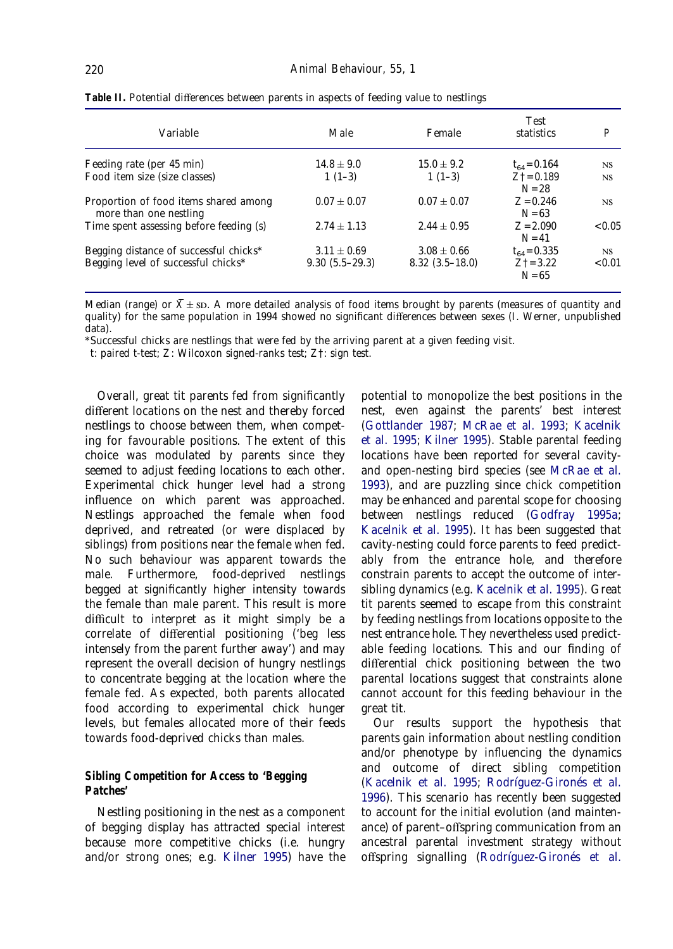| Variable                                                        | Male             | Female           | <b>Test</b><br>statistics         | P         |
|-----------------------------------------------------------------|------------------|------------------|-----------------------------------|-----------|
| Feeding rate (per 45 min)                                       | $14.8 \pm 9.0$   | $15.0 \pm 9.2$   | $t_{64} = 0.164$                  | <b>NS</b> |
| Food item size (size classes)                                   | $1(1-3)$         | $1(1-3)$         | $Z^{\dagger} = 0.189$<br>$N = 28$ | <b>NS</b> |
| Proportion of food items shared among<br>more than one nestling | $0.07 \pm 0.07$  | $0.07 \pm 0.07$  | $Z=0.246$<br>$N = 63$             | <b>NS</b> |
| Time spent assessing before feeding (s)                         | $2.74 \pm 1.13$  | $2.44 \pm 0.95$  | $Z = 2.090$<br>$N = 41$           | < 0.05    |
| Begging distance of successful chicks*                          | $3.11 \pm 0.69$  | $3.08 \pm 0.66$  | $t_{64} = 0.335$                  | <b>NS</b> |
| Begging level of successful chicks*                             | $9.30(5.5-29.3)$ | $8.32(3.5-18.0)$ | $Z^{\dagger} = 3.22$<br>$N = 65$  | < 0.01    |

<span id="page-5-0"></span>**Table II.** Potential differences between parents in aspects of feeding value to nestlings

Median (range) or  $\bar{X} \pm$  sp. A more detailed analysis of food items brought by parents (measures of quantity and quality) for the same population in 1994 showed no significant differences between sexes (I. Werner, unpublished data).

\*Successful chicks are nestlings that were fed by the arriving parent at a given feeding visit.

*t*: paired *t*-test; *Z*: Wilcoxon signed-ranks test; *Z*†: sign test.

Overall, great tit parents fed from significantly different locations on the nest and thereby forced nestlings to choose between them, when competing for favourable positions. The extent of this choice was modulated by parents since they seemed to adjust feeding locations to each other. Experimental chick hunger level had a strong influence on which parent was approached. Nestlings approached the female when food deprived, and retreated (or were displaced by siblings) from positions near the female when fed. No such behaviour was apparent towards the male. Furthermore, food-deprived nestlings begged at significantly higher intensity towards the female than male parent. This result is more difficult to interpret as it might simply be a correlate of differential positioning ('beg less intensely from the parent further away') and may represent the overall decision of hungry nestlings to concentrate begging at the location where the female fed. As expected, both parents allocated food according to experimental chick hunger levels, but females allocated more of their feeds towards food-deprived chicks than males.

# **Sibling Competition for Access to 'Begging Patches'**

Nestling positioning in the nest as a component of begging display has attracted special interest because more competitive chicks (i.e. hungry and/or strong ones; e.g. [Kilner 1995\)](#page-7-22) have the potential to monopolize the best positions in the nest, even against the parents' best interest [\(Gottlander 1987;](#page-7-10) [McRae et al. 1993;](#page-7-18) [Kacelnik](#page-7-21) [et al. 1995;](#page-7-21) [Kilner 1995\)](#page-7-22). Stable parental feeding locations have been reported for several cavityand open-nesting bird species (see [McRae et al.](#page-7-18) [1993\)](#page-7-18), and are puzzling since chick competition may be enhanced and parental scope for choosing between nestlings reduced [\(Godfray 1995a;](#page-7-1) [Kacelnik et al. 1995\)](#page-7-21). It has been suggested that cavity-nesting could force parents to feed predictably from the entrance hole, and therefore constrain parents to accept the outcome of intersibling dynamics (e.g. [Kacelnik et al. 1995\)](#page-7-21). Great tit parents seemed to escape from this constraint by feeding nestlings from locations opposite to the nest entrance hole. They nevertheless used predictable feeding locations. This and our finding of differential chick positioning between the two parental locations suggest that constraints alone cannot account for this feeding behaviour in the great tit.

Our results support the hypothesis that parents gain information about nestling condition and/or phenotype by influencing the dynamics and outcome of direct sibling competition [\(Kacelnik et al. 1995;](#page-7-21) Rodríguez-Gironés et al. [1996\)](#page-7-28). This scenario has recently been suggested to account for the initial evolution (and maintenance) of parent–offspring communication from an ancestral parental investment strategy without offspring signalling (Rodríguez-Gironés et al.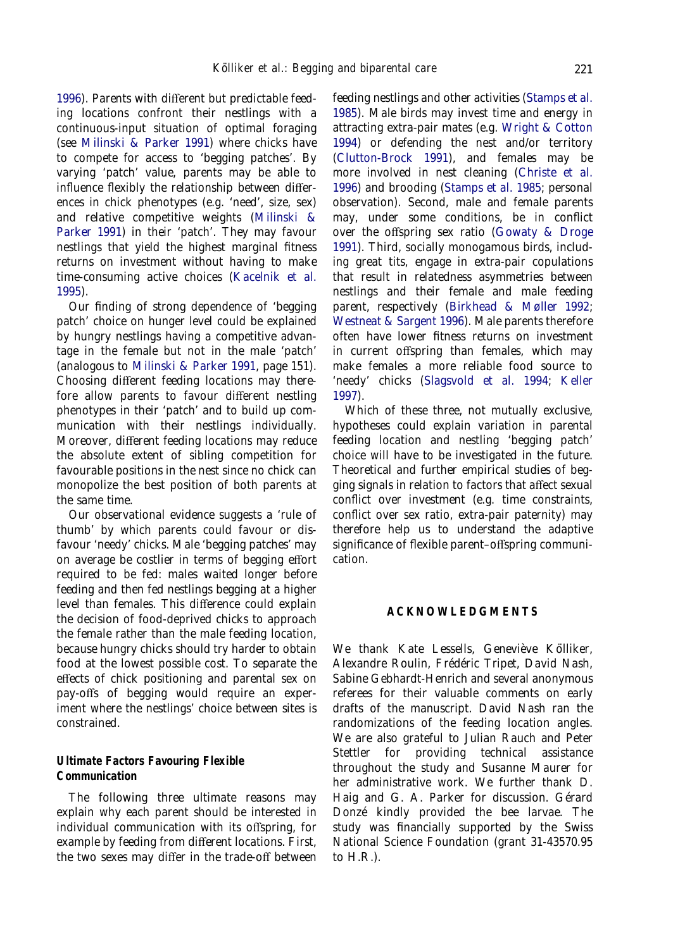[1996\)](#page-7-28). Parents with different but predictable feeding locations confront their nestlings with a continuous-input situation of optimal foraging (see [Milinski & Parker 1991\)](#page-7-29) where chicks have to compete for access to 'begging patches'. By varying 'patch' value, parents may be able to influence flexibly the relationship between differences in chick phenotypes (e.g. 'need', size, sex) and relative competitive weights [\(Milinski &](#page-7-29) [Parker 1991\)](#page-7-29) in their 'patch'. They may favour nestlings that yield the highest marginal fitness returns on investment without having to make time-consuming active choices [\(Kacelnik et al.](#page-7-21) [1995\)](#page-7-21).

Our finding of strong dependence of 'begging patch' choice on hunger level could be explained by hungry nestlings having a competitive advantage in the female but not in the male 'patch' (analogous to [Milinski & Parker 1991,](#page-7-29) page 151). Choosing different feeding locations may therefore allow parents to favour different nestling phenotypes in their 'patch' and to build up communication with their nestlings individually. Moreover, different feeding locations may reduce the absolute extent of sibling competition for favourable positions in the nest since no chick can monopolize the best position of both parents at the same time.

Our observational evidence suggests a 'rule of thumb' by which parents could favour or disfavour 'needy' chicks. Male 'begging patches' may on average be costlier in terms of begging effort required to be fed: males waited longer before feeding and then fed nestlings begging at a higher level than females. This difference could explain the decision of food-deprived chicks to approach the female rather than the male feeding location, because hungry chicks should try harder to obtain food at the lowest possible cost. To separate the effects of chick positioning and parental sex on pay-offs of begging would require an experiment where the nestlings' choice between sites is constrained.

## **Ultimate Factors Favouring Flexible Communication**

The following three ultimate reasons may explain why each parent should be interested in individual communication with its offspring, for example by feeding from different locations. First, the two sexes may differ in the trade-off between feeding nestlings and other activities [\(Stamps et al.](#page-7-9) [1985\)](#page-7-9). Male birds may invest time and energy in attracting extra-pair mates (e.g. [Wright & Cotton](#page-7-30) [1994\)](#page-7-30) or defending the nest and/or territory [\(Clutton-Brock 1991\)](#page-7-8), and females may be more involved in nest cleaning [\(Christe et al.](#page-7-24) [1996\)](#page-7-24) and brooding [\(Stamps et al. 1985;](#page-7-9) personal observation). Second, male and female parents may, under some conditions, be in conflict over the offspring sex ratio [\(Gowaty & Droge](#page-7-15) [1991\)](#page-7-15). Third, socially monogamous birds, including great tits, engage in extra-pair copulations that result in relatedness asymmetries between nestlings and their female and male feeding parent, respectively [\(Birkhead & Møller 1992;](#page-7-31) [Westneat & Sargent 1996\)](#page-7-17). Male parents therefore often have lower fitness returns on investment in current offspring than females, which may make females a more reliable food source to 'needy' chicks [\(Slagsvold et al. 1994;](#page-7-14) [Keller](#page-7-32) [1997\)](#page-7-32).

Which of these three, not mutually exclusive, hypotheses could explain variation in parental feeding location and nestling 'begging patch' choice will have to be investigated in the future. Theoretical and further empirical studies of begging signals in relation to factors that affect sexual conflict over investment (e.g. time constraints, conflict over sex ratio, extra-pair paternity) may therefore help us to understand the adaptive significance of flexible parent–offspring communication.

## **ACKNOWLEDGMENTS**

We thank Kate Lessells, Geneviève Kölliker, Alexandre Roulin, Frédéric Tripet, David Nash, Sabine Gebhardt-Henrich and several anonymous referees for their valuable comments on early drafts of the manuscript. David Nash ran the randomizations of the feeding location angles. We are also grateful to Julian Rauch and Peter<br>Stettler for providing technical assistance Stettler for providing technical assistance throughout the study and Susanne Maurer for her administrative work. We further thank D. Haig and G. A. Parker for discussion. Gérard Donze´ kindly provided the bee larvae. The study was financially supported by the Swiss National Science Foundation (grant 31-43570.95 to H.R.).